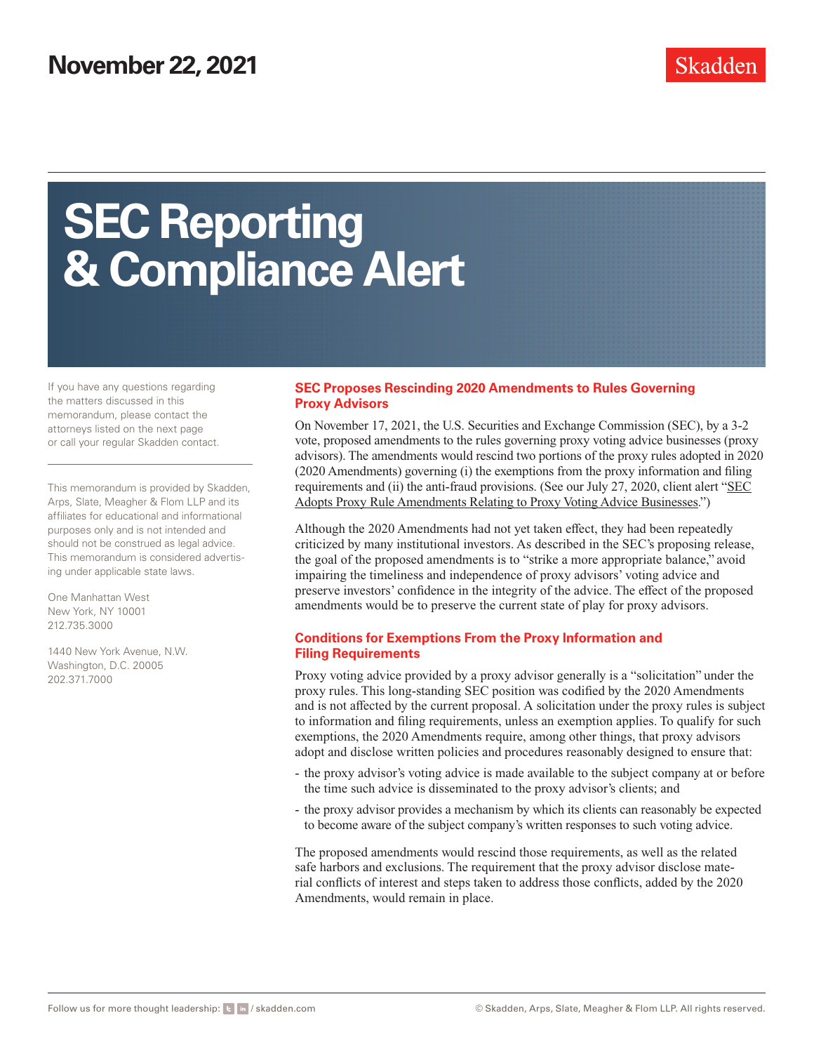# **SEC Reporting & Compliance Alert**

If you have any questions regarding the matters discussed in this memorandum, please contact the attorneys listed on the next page or call your regular Skadden contact.

This memorandum is provided by Skadden, Arps, Slate, Meagher & Flom LLP and its affiliates for educational and informational purposes only and is not intended and should not be construed as legal advice. This memorandum is considered advertising under applicable state laws.

One Manhattan West New York, NY 10001 212.735.3000

1440 New York Avenue, N.W. Washington, D.C. 20005 202.371.7000

#### **SEC Proposes Rescinding 2020 Amendments to Rules Governing Proxy Advisors**

On November 17, 2021, the U.S. Securities and Exchange Commission (SEC), by a 3-2 vote, proposed amendments to the rules governing proxy voting advice businesses (proxy advisors). The amendments would rescind two portions of the proxy rules adopted in 2020 (2020 Amendments) governing (i) the exemptions from the proxy information and filing requirements and (ii) the anti-fraud provisions. (See our July 27, 2020, client alert ["SEC](https://skadden.com/-/media/files/publications/2021/11/sec-proposes-rescinding-2020-amendments/3493595.pdf) [Adopts Proxy Rule Amendments Relating to Proxy Voting Advice Businesses](https://skadden.com/-/media/files/publications/2021/11/sec-proposes-rescinding-2020-amendments/3493595.pdf).")

Although the 2020 Amendments had not yet taken effect, they had been repeatedly criticized by many institutional investors. As described in the SEC's proposing release, the goal of the proposed amendments is to "strike a more appropriate balance," avoid impairing the timeliness and independence of proxy advisors' voting advice and preserve investors' confidence in the integrity of the advice. The effect of the proposed amendments would be to preserve the current state of play for proxy advisors.

#### **Conditions for Exemptions From the Proxy Information and Filing Requirements**

Proxy voting advice provided by a proxy advisor generally is a "solicitation" under the proxy rules. This long-standing SEC position was codified by the 2020 Amendments and is not affected by the current proposal. A solicitation under the proxy rules is subject to information and filing requirements, unless an exemption applies. To qualify for such exemptions, the 2020 Amendments require, among other things, that proxy advisors adopt and disclose written policies and procedures reasonably designed to ensure that:

- the proxy advisor's voting advice is made available to the subject company at or before the time such advice is disseminated to the proxy advisor's clients; and
- the proxy advisor provides a mechanism by which its clients can reasonably be expected to become aware of the subject company's written responses to such voting advice.

The proposed amendments would rescind those requirements, as well as the related safe harbors and exclusions. The requirement that the proxy advisor disclose material conflicts of interest and steps taken to address those conflicts, added by the 2020 Amendments, would remain in place.